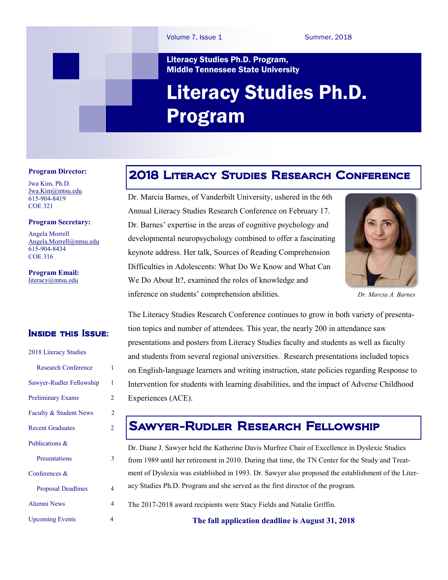#### Literacy Studies Ph.D. Program, Middle Tennessee State University

# Literacy Studies Ph.D. Program

#### **Program Director:**

Jwa Kim, Ph.D. [Jwa.Kim@mtsu.edu](mailto:Jwa.Kim@mtsu.edu) 615-904-8419 COE 321

#### **Program Secretary:**

Angela Morrell [Angela.Morrell@mtsu.edu](mailto:Angela.Morrell@mtsu.edu) 615-904-8434 COE 316

**Program Email:**  [literacy@mtsu.edu](mailto:literacy@mtsu.edu)

#### Inside this Issue:

| 2018 Literacy Studies      |   |
|----------------------------|---|
| <b>Research Conference</b> | 1 |
| Sawyer-Rudler Fellowship   | 1 |
| <b>Preliminary Exams</b>   | 2 |
| Faculty & Student News     | 2 |
| <b>Recent Graduates</b>    | 2 |
| Publications &             |   |
| Presentations              | 3 |
| Conferences $\&$           |   |
| <b>Proposal Deadlines</b>  | 4 |
| <b>Alumni News</b>         | 4 |
| <b>Upcoming Events</b>     | 4 |

### 2018 Literacy Studies Research Conference

Dr. Marcia Barnes, of Vanderbilt University, ushered in the 6th Annual Literacy Studies Research Conference on February 17. Dr. Barnes' expertise in the areas of cognitive psychology and developmental neuropsychology combined to offer a fascinating keynote address. Her talk, Sources of Reading Comprehension Difficulties in Adolescents: What Do We Know and What Can We Do About It?, examined the roles of knowledge and inference on students' comprehension abilities. *Dr. Marcia A. Barnes*



The Literacy Studies Research Conference continues to grow in both variety of presentation topics and number of attendees. This year, the nearly 200 in attendance saw presentations and posters from Literacy Studies faculty and students as well as faculty and students from several regional universities. Research presentations included topics on English-language learners and writing instruction, state policies regarding Response to Intervention for students with learning disabilities, and the impact of Adverse Childhood Experiences (ACE).

### Sawyer-Rudler Research Fellowship

Dr. Diane J. Sawyer held the Katherine Davis Murfree Chair of Excellence in Dyslexic Studies from 1989 until her retirement in 2010. During that time, the TN Center for the Study and Treatment of Dyslexia was established in 1993. Dr. Sawyer also proposed the establishment of the Literacy Studies Ph.D. Program and she served as the first director of the program.

The 2017-2018 award recipients were Stacy Fields and Natalie Griffin.

**The fall application deadline is August 31, 2018**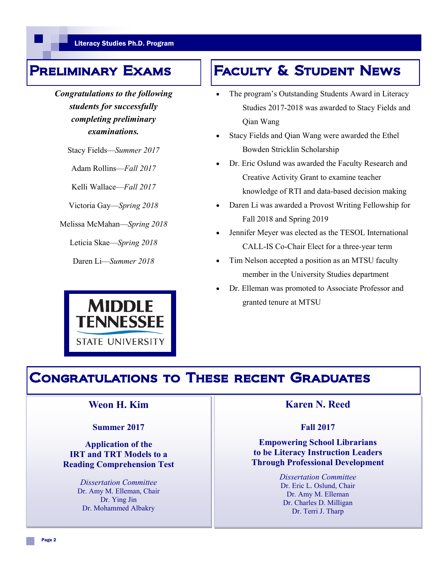*Congratulations to the following students for successfully completing preliminary examinations.* 

Stacy Fields—*Summer 2017*

Adam Rollins—*Fall 2017*

Kelli Wallace—*Fall 2017*

Victoria Gay—*Spring 2018*

Melissa McMahan—*Spring 2018*

Leticia Skae—*Spring 2018*

Daren Li—*Summer 2018*



## PRELIMINARY EXAMS | FACULTY & STUDENT NEWS

- The program's Outstanding Students Award in Literacy Studies 2017-2018 was awarded to Stacy Fields and Qian Wang
- Stacy Fields and Qian Wang were awarded the Ethel Bowden Stricklin Scholarship
- Dr. Eric Oslund was awarded the Faculty Research and Creative Activity Grant to examine teacher knowledge of RTI and data-based decision making
- Daren Li was awarded a Provost Writing Fellowship for Fall 2018 and Spring 2019
- Jennifer Meyer was elected as the TESOL International CALL-IS Co-Chair Elect for a three-year term
- Tim Nelson accepted a position as an MTSU faculty member in the University Studies department
- Dr. Elleman was promoted to Associate Professor and granted tenure at MTSU

### Congratulations to These recent Graduates

#### **Weon H. Kim**

#### **Summer 2017**

**Application of the IRT and TRT Models to a Reading Comprehension Test**

> *Dissertation Committee* Dr. Amy M. Elleman, Chair Dr. Ying Jin Dr. Mohammed Albakry

### **Karen N. Reed**

#### **Fall 2017**

#### **Empowering School Librarians to be Literacy Instruction Leaders Through Professional Development**

*Dissertation Committee* Dr. Eric L. Oslund, Chair Dr. Amy M. Elleman Dr. Charles D. Milligan Dr. Terri J. Tharp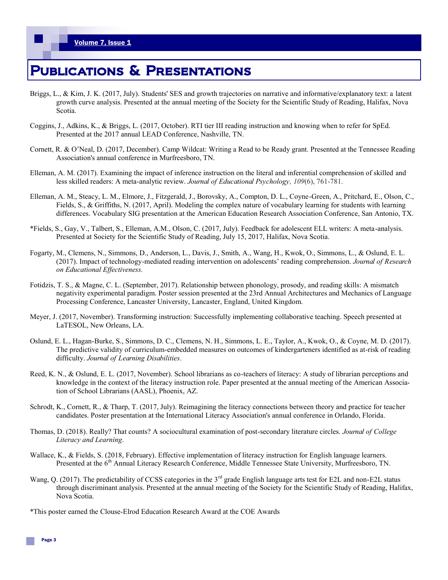## Publications & Presentations

- Briggs, L., & Kim, J. K. (2017, July). Students' SES and growth trajectories on narrative and informative/explanatory text: a latent growth curve analysis. Presented at the annual meeting of the Society for the Scientific Study of Reading, Halifax, Nova Scotia.
- Coggins, J., Adkins, K., & Briggs, L. (2017, October). RTI tier III reading instruction and knowing when to refer for SpEd. Presented at the 2017 annual LEAD Conference, Nashville, TN.
- Cornett, R. & O'Neal, D. (2017, December). Camp Wildcat: Writing a Read to be Ready grant. Presented at the Tennessee Reading Association's annual conference in Murfreesboro, TN.
- Elleman, A. M. (2017). Examining the impact of inference instruction on the literal and inferential comprehension of skilled and less skilled readers: A meta-analytic review. *Journal of Educational Psychology, 109*(6), 761-781.
- Elleman, A. M., Steacy, L. M., Elmore, J., Fitzgerald, J., Borovsky, A., Compton, D. L., Coyne-Green, A., Pritchard, E., Olson, C., Fields, S., & Griffiths, N. (2017, April). Modeling the complex nature of vocabulary learning for students with learning differences. Vocabulary SIG presentation at the American Education Research Association Conference, San Antonio, TX.
- \*Fields, S., Gay, V., Talbert, S., Elleman, A.M., Olson, C. (2017, July). Feedback for adolescent ELL writers: A meta-analysis. Presented at Society for the Scientific Study of Reading, July 15, 2017, Halifax, Nova Scotia.
- Fogarty, M., Clemens, N., Simmons, D., Anderson, L., Davis, J., Smith, A., Wang, H., Kwok, O., Simmons, L., & Oslund, E. L. (2017). Impact of technology-mediated reading intervention on adolescents' reading comprehension. *Journal of Research on Educational Effectiveness.*
- Fotidzis, T. S., & Magne, C. L. (September, 2017). Relationship between phonology, prosody, and reading skills: A mismatch negativity experimental paradigm. Poster session presented at the 23rd Annual Architectures and Mechanics of Language Processing Conference, Lancaster University, Lancaster, England, United Kingdom.
- Meyer, J. (2017, November). Transforming instruction: Successfully implementing collaborative teaching. Speech presented at LaTESOL, New Orleans, LA.
- Oslund, E. L., Hagan-Burke, S., Simmons, D. C., Clemens, N. H., Simmons, L. E., Taylor, A., Kwok, O., & Coyne, M. D. (2017). The predictive validity of curriculum-embedded measures on outcomes of kindergarteners identified as at-risk of reading difficulty. *Journal of Learning Disabilities*.
- Reed, K. N., & Oslund, E. L. (2017, November). School librarians as co-teachers of literacy: A study of librarian perceptions and knowledge in the context of the literacy instruction role. Paper presented at the annual meeting of the American Association of School Librarians (AASL), Phoenix, AZ.
- Schrodt, K., Cornett, R., & Tharp, T. (2017, July). Reimagining the literacy connections between theory and practice for teacher candidates. Poster presentation at the International Literacy Association's annual conference in Orlando, Florida.
- Thomas, D. (2018). Really? That counts? A sociocultural examination of post-secondary literature circles. *Journal of College Literacy and Learning*.
- Wallace, K., & Fields, S. (2018, February). Effective implementation of literacy instruction for English language learners. Presented at the 6<sup>th</sup> Annual Literacy Research Conference, Middle Tennessee State University, Murfreesboro, TN.
- Wang, Q. (2017). The predictability of CCSS categories in the 3<sup>rd</sup> grade English language arts test for E2L and non-E2L status through discriminant analysis. Presented at the annual meeting of the Society for the Scientific Study of Reading, Halifax, Nova Scotia.
- \*This poster earned the Clouse-Elrod Education Research Award at the COE Awards